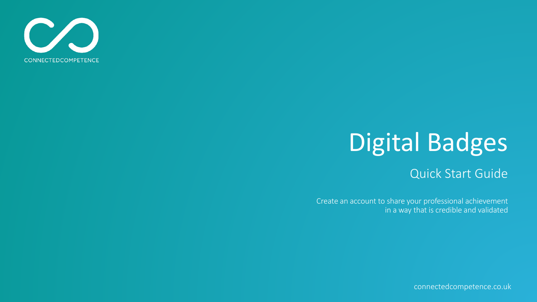

# Digital Badges

#### Quick Start Guide

Create an account to share your professional achievement in a way that is credible and validated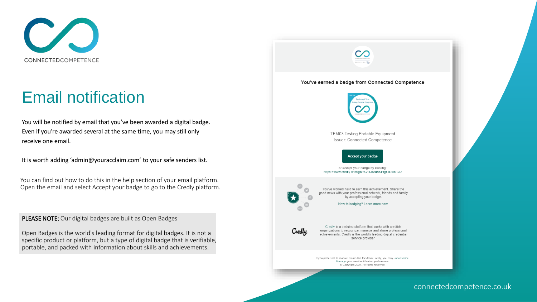

# Email notification

You will be notified by email that you've been awarded a digital badge. Even if you're awarded several at the same time, you may still only receive one email.

It is worth adding 'admin@youracclaim.com' to your safe senders list.

You can find out how to do this in the help section of your email platform. Open the email and select Accept your badge to go to the Credly platform.

PLEASE NOTE: Our digital badges are built as Open Badges

Open Badges is the world's leading format for digital badges. It is not a specific product or platform, but a type of digital badge that is verifiable, portable, and packed with information about skills and achievements.

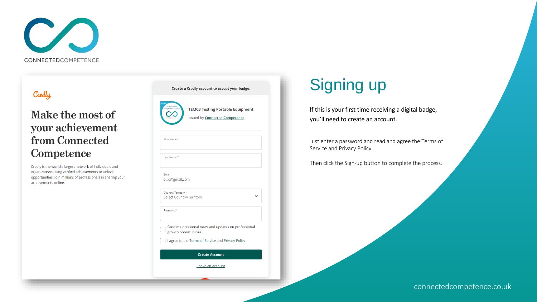

#### Credly

#### Make the most of your achievement from Connected Competence

Credly is the world's largest network of individuals and organizations using verified achievements to unlock opportunities. Join millions of professionals in sharing your achievements online.



### Signing up

If this is your first time receiving a digital badge, you'll need to create an account.

Just enter a password and read and agree the Terms of Service and Privacy Policy.

Then click the Sign-up button to complete the process.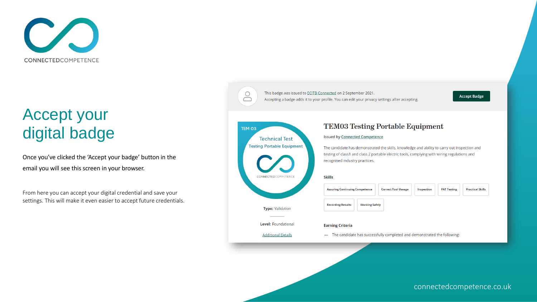

# Accept your digital badge

Once you've clicked the 'Accept your badge' button in the email you will see this screen in your browser.

From here you can accept your digital credential and save your settings. This will make it even easier to accept future credentials.

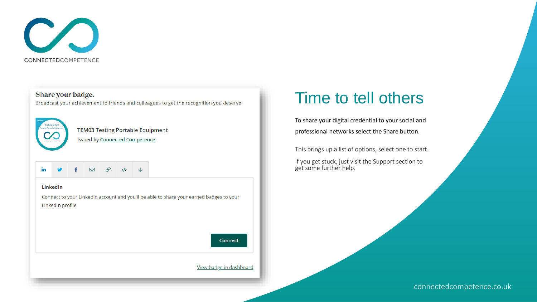

Share your badge. Broadcast your achievement to friends and colleagues to get the recognition you deserve.



**TEM03 Testing Portable Equipment Issued by Connected Competence** 

#### $\boxtimes$ P in  $\langle \rangle$

#### LinkedIn

Connect to your LinkedIn account and you'll be able to share your earned badges to your LinkedIn profile.

**Connect** 

View badge in dashboard

### Time to tell others

To share your digital credential to your social and professional networks select the Share button.

This brings up a list of options, select one to start.

If you get stuck, just visit the Support section to get some further help.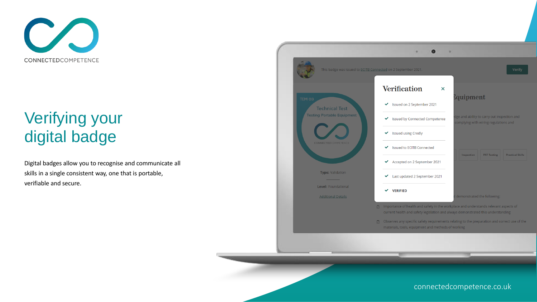

# Verifying your digital badge

Digital badges allow you to recognise and communicate all skills in a single consistent way, one that is portable, verifiable and secure.

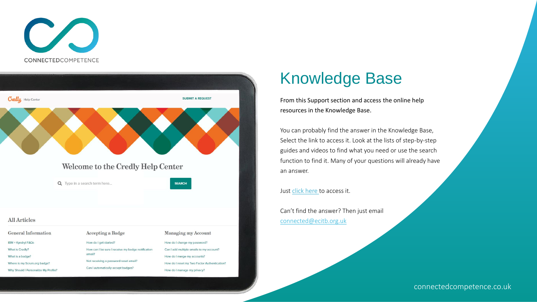



### Knowledge Base

From this Support section and access the online help resources in the Knowledge Base.

You can probably find the answer in the Knowledge Base, Select the link to access it. Look at the lists of step-by-step guides and videos to find what you need or use the search function to find it. Many of your questions will already have an answer.

Just [click here t](https://support.credly.com/hc/en-us)o access it.

Can't find the answer? Then just email [connected@ecitb.org.uk](mailto:connected@ecitb.org.uk)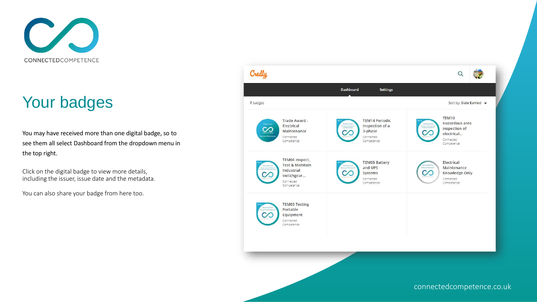

# Your badges

You may have received more than one digital badge, so to see them all select Dashboard from the dropdown menu in the top right.

Click on the digital badge to view more details, including the issuer, issue date and the metadata.

You can also share your badge from here too.

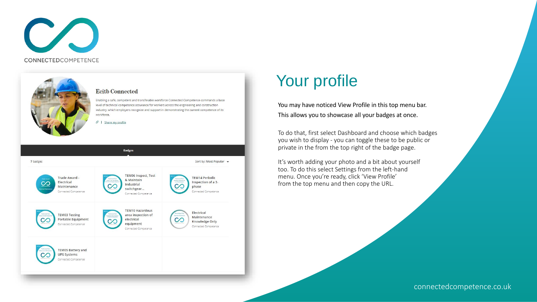



#### Your profile

You may have noticed View Profile in this top menu bar. This allows you to showcase all your badges at once.

To do that, first select Dashboard and choose which badges you wish to display - you can toggle these to be public or private in the from the top right of the badge page.

It's worth adding your photo and a bit about yourself too. To do this select Settings from the left-hand menu. Once you're ready, click 'View Profile' from the top menu and then copy the URL.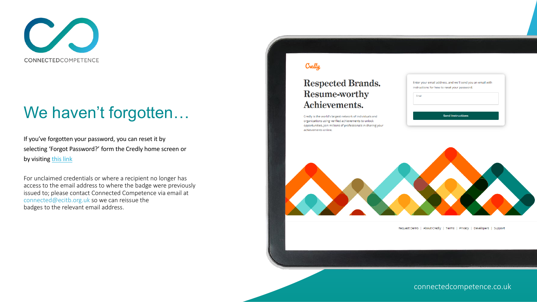

### We haven't forgotten...

If you've forgotten your password, you can reset it by selecting 'Forgot Password?' form the Credly home screen or by visiting [this](https://www.credly.com/users/password/new) link

For unclaimed credentials or where a recipient no longer has access to the email address to where the badge were previously issued to; please contact Connected Competence via email at connected@ecitb.org.uk so we can reissue the badges to the relevant email address.

#### Credly

#### **Respected Brands.** Resume-worthy Achievements.

Credly is the world's largest network of individuals and organizations using verified achievements to unlock opportunities. Join millions of professionals in sharing your achievements online.

|       | Enter your email address, and we'll send you an email with |
|-------|------------------------------------------------------------|
|       | instructions for how to reset your password.               |
| Email |                                                            |
|       |                                                            |
|       |                                                            |
|       |                                                            |
|       | <b>Send Instructions</b>                                   |



Request Demo | About Credly | Terms | Privacy | Developers | Support